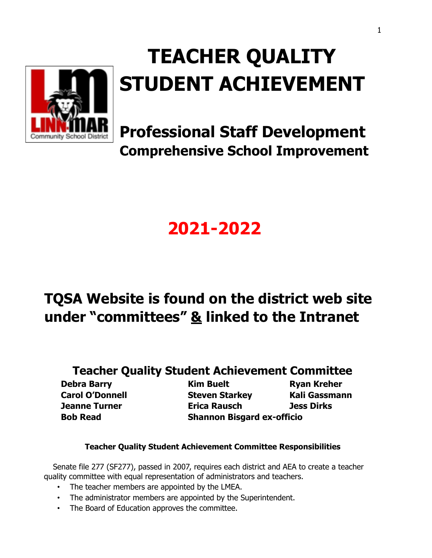

# **TEACHER QUALITY STUDENT ACHIEVEMENT**

**Professional Staff Development Comprehensive School Improvement**

# **2021-2022**

# **TQSA Website is found on the district web site under "committees" & linked to the Intranet**

## **Teacher Quality Student Achievement Committee**

**Debra Barry Kim Buelt Ryan Kreher Carol O'Donnell Steven Starkey Kali Gassmann Jeanne Turner Erica Rausch Jess Dirks Bob Read Shannon Bisgard ex-officio**

#### **Teacher Quality Student Achievement Committee Responsibilities**

Senate file 277 (SF277), passed in 2007, requires each district and AEA to create a teacher quality committee with equal representation of administrators and teachers.

- The teacher members are appointed by the LMEA.
- The administrator members are appointed by the Superintendent.
- The Board of Education approves the committee.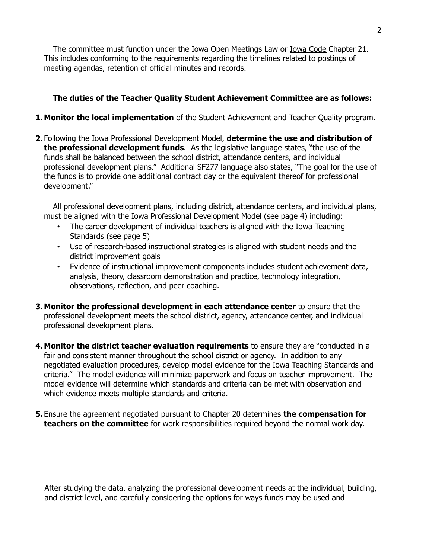The committee must function under the Iowa Open Meetings Law or Iowa Code Chapter 21. This includes conforming to the requirements regarding the timelines related to postings of meeting agendas, retention of official minutes and records.

#### **The duties of the Teacher Quality Student Achievement Committee are as follows:**

#### **1.Monitor the local implementation** of the Student Achievement and Teacher Quality program.

**2.** Following the Iowa Professional Development Model, **determine the use and distribution of the professional development funds**. As the legislative language states, "the use of the funds shall be balanced between the school district, attendance centers, and individual professional development plans." Additional SF277 language also states, "The goal for the use of the funds is to provide one additional contract day or the equivalent thereof for professional development."

All professional development plans, including district, attendance centers, and individual plans, must be aligned with the Iowa Professional Development Model (see page 4) including:

- The career development of individual teachers is aligned with the Iowa Teaching Standards (see page 5)
- Use of research-based instructional strategies is aligned with student needs and the district improvement goals
- Evidence of instructional improvement components includes student achievement data, analysis, theory, classroom demonstration and practice, technology integration, observations, reflection, and peer coaching.
- **3.Monitor the professional development in each attendance center** to ensure that the professional development meets the school district, agency, attendance center, and individual professional development plans.
- **4.Monitor the district teacher evaluation requirements** to ensure they are "conducted in a fair and consistent manner throughout the school district or agency. In addition to any negotiated evaluation procedures, develop model evidence for the Iowa Teaching Standards and criteria." The model evidence will minimize paperwork and focus on teacher improvement. The model evidence will determine which standards and criteria can be met with observation and which evidence meets multiple standards and criteria.
- **5.** Ensure the agreement negotiated pursuant to Chapter 20 determines **the compensation for teachers on the committee** for work responsibilities required beyond the normal work day.

After studying the data, analyzing the professional development needs at the individual, building, and district level, and carefully considering the options for ways funds may be used and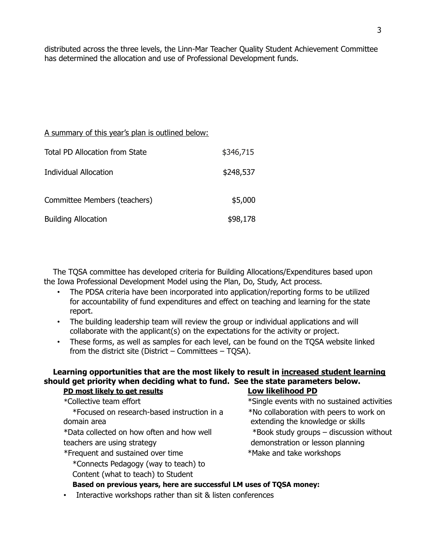distributed across the three levels, the Linn-Mar Teacher Quality Student Achievement Committee has determined the allocation and use of Professional Development funds.

#### A summary of this year's plan is outlined below:

| <b>Total PD Allocation from State</b> | \$346,715 |
|---------------------------------------|-----------|
| <b>Individual Allocation</b>          | \$248,537 |
| Committee Members (teachers)          | \$5,000   |
| <b>Building Allocation</b>            | \$98,178  |

The TQSA committee has developed criteria for Building Allocations/Expenditures based upon the Iowa Professional Development Model using the Plan, Do, Study, Act process.

- The PDSA criteria have been incorporated into application/reporting forms to be utilized for accountability of fund expenditures and effect on teaching and learning for the state report.
- The building leadership team will review the group or individual applications and will collaborate with the applicant(s) on the expectations for the activity or project.
- These forms, as well as samples for each level, can be found on the TQSA website linked from the district site (District – Committees – TQSA).

#### **Learning opportunities that are the most likely to result in increased student learning should get priority when deciding what to fund. See the state parameters below. PD most likely to get results Low likelihood PD**

| *Collective team effort                     | *Single events with no sustained activities |
|---------------------------------------------|---------------------------------------------|
| *Focused on research-based instruction in a | *No collaboration with peers to work on     |
| domain area                                 | extending the knowledge or skills           |
| *Data collected on how often and how well   | *Book study groups – discussion without     |
| teachers are using strategy                 | demonstration or lesson planning            |
| *Frequent and sustained over time           | *Make and take workshops                    |
| *Connects Pedagogy (way to teach) to        |                                             |
| Content (what to teach) to Student          |                                             |

#### **Based on previous years, here are successful LM uses of TQSA money:**

• Interactive workshops rather than sit & listen conferences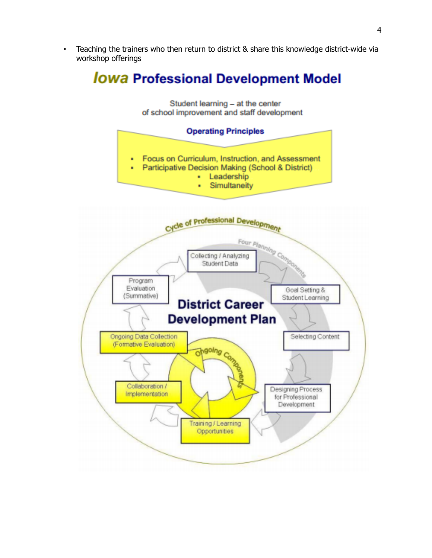• Teaching the trainers who then return to district & share this knowledge district-wide via workshop offerings

# **Jowa Professional Development Model**



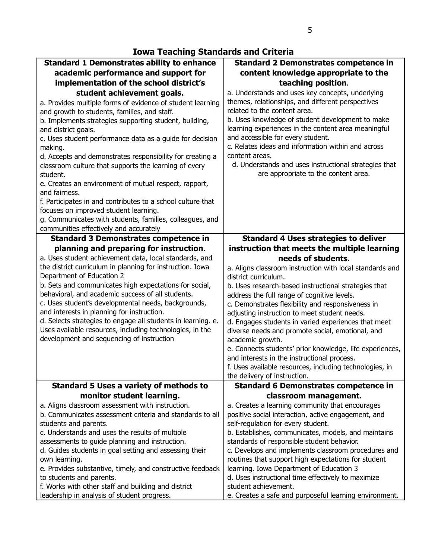### **Iowa Teaching Standards and Criteria**

| <b>Standard 1 Demonstrates ability to enhance</b>                                                                        | <b>Standard 2 Demonstrates competence in</b>                                                           |
|--------------------------------------------------------------------------------------------------------------------------|--------------------------------------------------------------------------------------------------------|
| academic performance and support for                                                                                     | content knowledge appropriate to the                                                                   |
| implementation of the school district's                                                                                  | teaching position.                                                                                     |
| student achievement goals.                                                                                               | a. Understands and uses key concepts, underlying                                                       |
| a. Provides multiple forms of evidence of student learning                                                               | themes, relationships, and different perspectives                                                      |
| and growth to students, families, and staff.                                                                             | related to the content area.                                                                           |
| b. Implements strategies supporting student, building,                                                                   | b. Uses knowledge of student development to make                                                       |
| and district goals.                                                                                                      | learning experiences in the content area meaningful                                                    |
| c. Uses student performance data as a guide for decision                                                                 | and accessible for every student.                                                                      |
| making.                                                                                                                  | c. Relates ideas and information within and across                                                     |
| d. Accepts and demonstrates responsibility for creating a                                                                | content areas.                                                                                         |
| classroom culture that supports the learning of every                                                                    | d. Understands and uses instructional strategies that                                                  |
| student.                                                                                                                 | are appropriate to the content area.                                                                   |
| e. Creates an environment of mutual respect, rapport,                                                                    |                                                                                                        |
| and fairness.                                                                                                            |                                                                                                        |
| f. Participates in and contributes to a school culture that                                                              |                                                                                                        |
| focuses on improved student learning.                                                                                    |                                                                                                        |
| g. Communicates with students, families, colleagues, and                                                                 |                                                                                                        |
| communities effectively and accurately                                                                                   |                                                                                                        |
| <b>Standard 3 Demonstrates competence in</b>                                                                             | <b>Standard 4 Uses strategies to deliver</b>                                                           |
| planning and preparing for instruction.                                                                                  | instruction that meets the multiple learning                                                           |
| a. Uses student achievement data, local standards, and                                                                   | needs of students.                                                                                     |
| the district curriculum in planning for instruction. Iowa                                                                | a. Aligns classroom instruction with local standards and                                               |
| Department of Education 2                                                                                                | district curriculum.                                                                                   |
| b. Sets and communicates high expectations for social,                                                                   | b. Uses research-based instructional strategies that                                                   |
| behavioral, and academic success of all students.                                                                        | address the full range of cognitive levels.                                                            |
| c. Uses student's developmental needs, backgrounds,                                                                      | c. Demonstrates flexibility and responsiveness in                                                      |
| and interests in planning for instruction.                                                                               | adjusting instruction to meet student needs.                                                           |
| d. Selects strategies to engage all students in learning. e.<br>Uses available resources, including technologies, in the | d. Engages students in varied experiences that meet                                                    |
| development and sequencing of instruction                                                                                | diverse needs and promote social, emotional, and                                                       |
|                                                                                                                          | academic growth.                                                                                       |
|                                                                                                                          | e. Connects students' prior knowledge, life experiences,                                               |
|                                                                                                                          | and interests in the instructional process.                                                            |
|                                                                                                                          | f. Uses available resources, including technologies, in<br>the delivery of instruction.                |
| <b>Standard 5 Uses a variety of methods to</b>                                                                           | <b>Standard 6 Demonstrates competence in</b>                                                           |
| monitor student learning.                                                                                                |                                                                                                        |
| a. Aligns classroom assessment with instruction.                                                                         | classroom management.                                                                                  |
| b. Communicates assessment criteria and standards to all                                                                 | a. Creates a learning community that encourages<br>positive social interaction, active engagement, and |
| students and parents.                                                                                                    | self-regulation for every student.                                                                     |
| c. Understands and uses the results of multiple                                                                          | b. Establishes, communicates, models, and maintains                                                    |
| assessments to guide planning and instruction.                                                                           | standards of responsible student behavior.                                                             |
| d. Guides students in goal setting and assessing their                                                                   | c. Develops and implements classroom procedures and                                                    |
| own learning.                                                                                                            | routines that support high expectations for student                                                    |
| e. Provides substantive, timely, and constructive feedback                                                               | learning. Iowa Department of Education 3                                                               |
| to students and parents.                                                                                                 | d. Uses instructional time effectively to maximize                                                     |
| f. Works with other staff and building and district                                                                      | student achievement.                                                                                   |
| leadership in analysis of student progress.                                                                              | e. Creates a safe and purposeful learning environment.                                                 |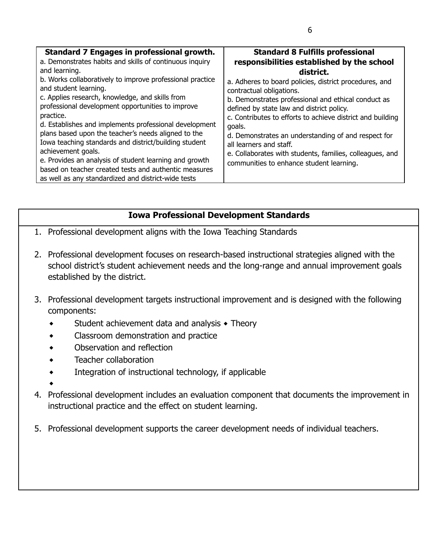### **Iowa Professional Development Standards**

- 1. Professional development aligns with the Iowa Teaching Standards
- 2. Professional development focuses on research-based instructional strategies aligned with the school district's student achievement needs and the long-range and annual improvement goals established by the district.
- 3. Professional development targets instructional improvement and is designed with the following components:
	- Student achievement data and analysis  $\triangle$  Theory
	- ⬥ Classroom demonstration and practice
	- ⬥ Observation and reflection
	- ⬥ Teacher collaboration
	- ⬥ Integration of instructional technology, if applicable
	- $\bullet$
- 4. Professional development includes an evaluation component that documents the improvement in instructional practice and the effect on student learning.
- 5. Professional development supports the career development needs of individual teachers.